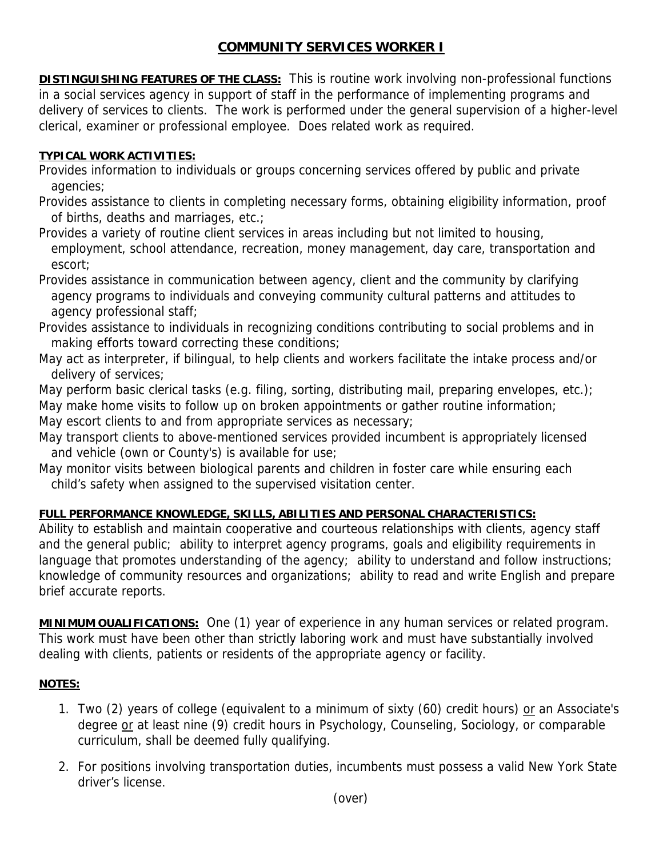## **COMMUNITY SERVICES WORKER I**

**DISTINGUISHING FEATURES OF THE CLASS:** This is routine work involving non-professional functions in a social services agency in support of staff in the performance of implementing programs and delivery of services to clients. The work is performed under the general supervision of a higher-level clerical, examiner or professional employee. Does related work as required.

## **TYPICAL WORK ACTIVITIES:**

- Provides information to individuals or groups concerning services offered by public and private agencies;
- Provides assistance to clients in completing necessary forms, obtaining eligibility information, proof of births, deaths and marriages, etc.;
- Provides a variety of routine client services in areas including but not limited to housing, employment, school attendance, recreation, money management, day care, transportation and escort;
- Provides assistance in communication between agency, client and the community by clarifying agency programs to individuals and conveying community cultural patterns and attitudes to agency professional staff;
- Provides assistance to individuals in recognizing conditions contributing to social problems and in making efforts toward correcting these conditions;
- May act as interpreter, if bilingual, to help clients and workers facilitate the intake process and/or delivery of services;
- May perform basic clerical tasks (e.g. filing, sorting, distributing mail, preparing envelopes, etc.); May make home visits to follow up on broken appointments or gather routine information;
- May escort clients to and from appropriate services as necessary;
- May transport clients to above-mentioned services provided incumbent is appropriately licensed and vehicle (own or County's) is available for use;
- May monitor visits between biological parents and children in foster care while ensuring each child's safety when assigned to the supervised visitation center.

## **FULL PERFORMANCE KNOWLEDGE, SKILLS, ABILITIES AND PERSONAL CHARACTERISTICS:**

Ability to establish and maintain cooperative and courteous relationships with clients, agency staff and the general public; ability to interpret agency programs, goals and eligibility requirements in language that promotes understanding of the agency; ability to understand and follow instructions; knowledge of community resources and organizations; ability to read and write English and prepare brief accurate reports.

**MINIMUM OUALIFICATIONS:** One (1) year of experience in any human services or related program. This work must have been other than strictly laboring work and must have substantially involved dealing with clients, patients or residents of the appropriate agency or facility.

## **NOTES:**

- 1. Two (2) years of college (equivalent to a minimum of sixty (60) credit hours) or an Associate's degree or at least nine (9) credit hours in Psychology, Counseling, Sociology, or comparable curriculum, shall be deemed fully qualifying.
- 2. For positions involving transportation duties, incumbents must possess a valid New York State driver's license.